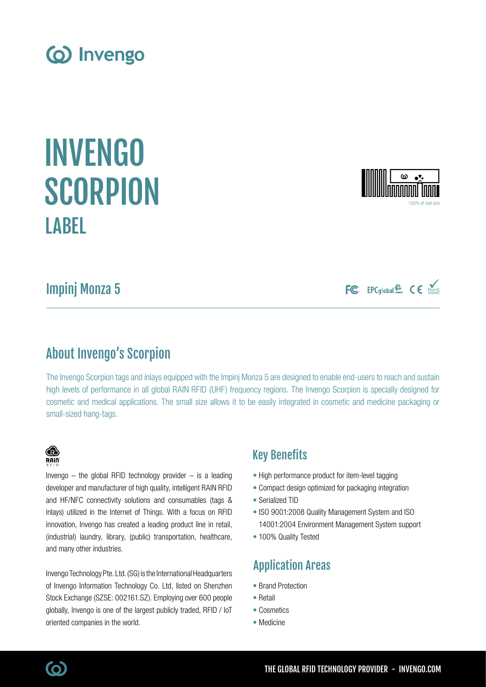Impinj Monza 5

**LABEL** 

# About Invengo's Scorpion

The Invengo Scorpion tags and inlays equipped with the Impinj Monza 5 are designed to enable end-users to reach and sustain high levels of performance in all global RAIN RFID (UHF) frequency regions. The Invengo Scorpion is specially designed for cosmetic and medical applications. The small size allows it to be easily integrated in cosmetic and medicine packaging or small-sized hang-tags.

## Key Benefits

- High performance product for item-level tagging
- Compact design optimized for packaging integration
- Serialized TID
- ISO 9001:2008 Quality Management System and ISO 14001:2004 Environment Management System support
- 100% Quality Tested

# Application Areas

- Brand Protection
- Retail
- Cosmetics
- Medicine

## (industrial) laundry, library, (public) transportation, healthcare, and many other industries. Invengo Technology Pte. Ltd. (SG) is the International Headquarters

Invengo  $-$  the global RFID technology provider  $-$  is a leading

innovation, Invengo has created a leading product line in retail,

of Invengo Information Technology Co. Ltd, listed on Shenzhen Stock Exchange (SZSE: 002161.SZ). Employing over 600 people globally, Invengo is one of the largest publicly traded, RFID / IoT oriented companies in the world.



INVENGO

**SCORPION** 







(ဝ)

**B**  $R$ ain